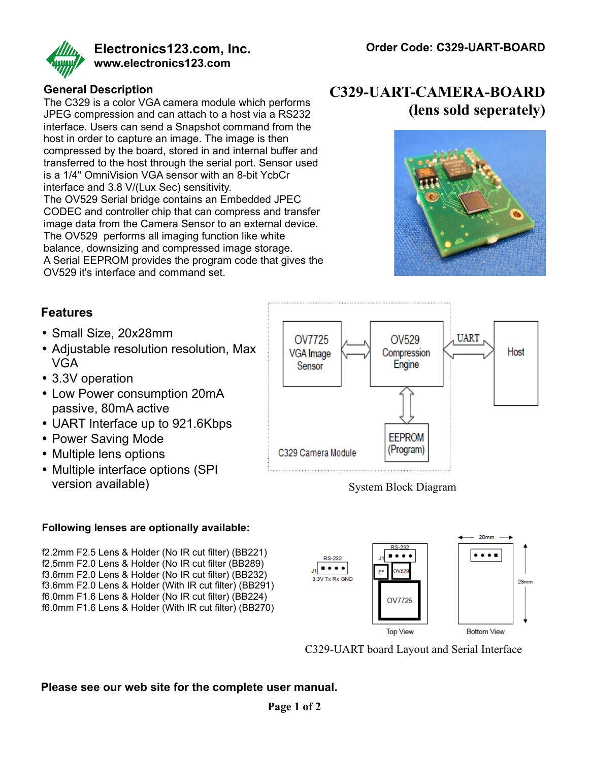### **Electronics123.com, Inc. www.electronics123.com**



### **General Description**

The C329 is a color VGA camera module which performs JPEG compression and can attach to a host via a RS232 interface. Users can send a Snapshot command from the host in order to capture an image. The image is then compressed by the board, stored in and internal buffer and transferred to the host through the serial port. Sensor used is a 1/4" OmniVision VGA sensor with an 8-bit YcbCr interface and 3.8 V/(Lux Sec) sensitivity. The OV529 Serial bridge contains an Embedded JPEC CODEC and controller chip that can compress and transfer image data from the Camera Sensor to an external device. The OV529 performs all imaging function like white balance, downsizing and compressed image storage. A Serial EEPROM provides the program code that gives the OV529 it's interface and command set.

# **C329-UART-CAMERA-BOARD (lens sold seperately)**



## **Features**

- Small Size, 20x28mm
- Adjustable resolution resolution, Max VGA
- 3.3V operation
- Low Power consumption 20mA passive, 80mA active
- UART Interface up to 921.6Kbps
- Power Saving Mode
- Multiple lens options
- Multiple interface options (SPI version available) System Block Diagram









C329-UART board Layout and Serial Interface

### **Please see our web site for the complete user manual.**